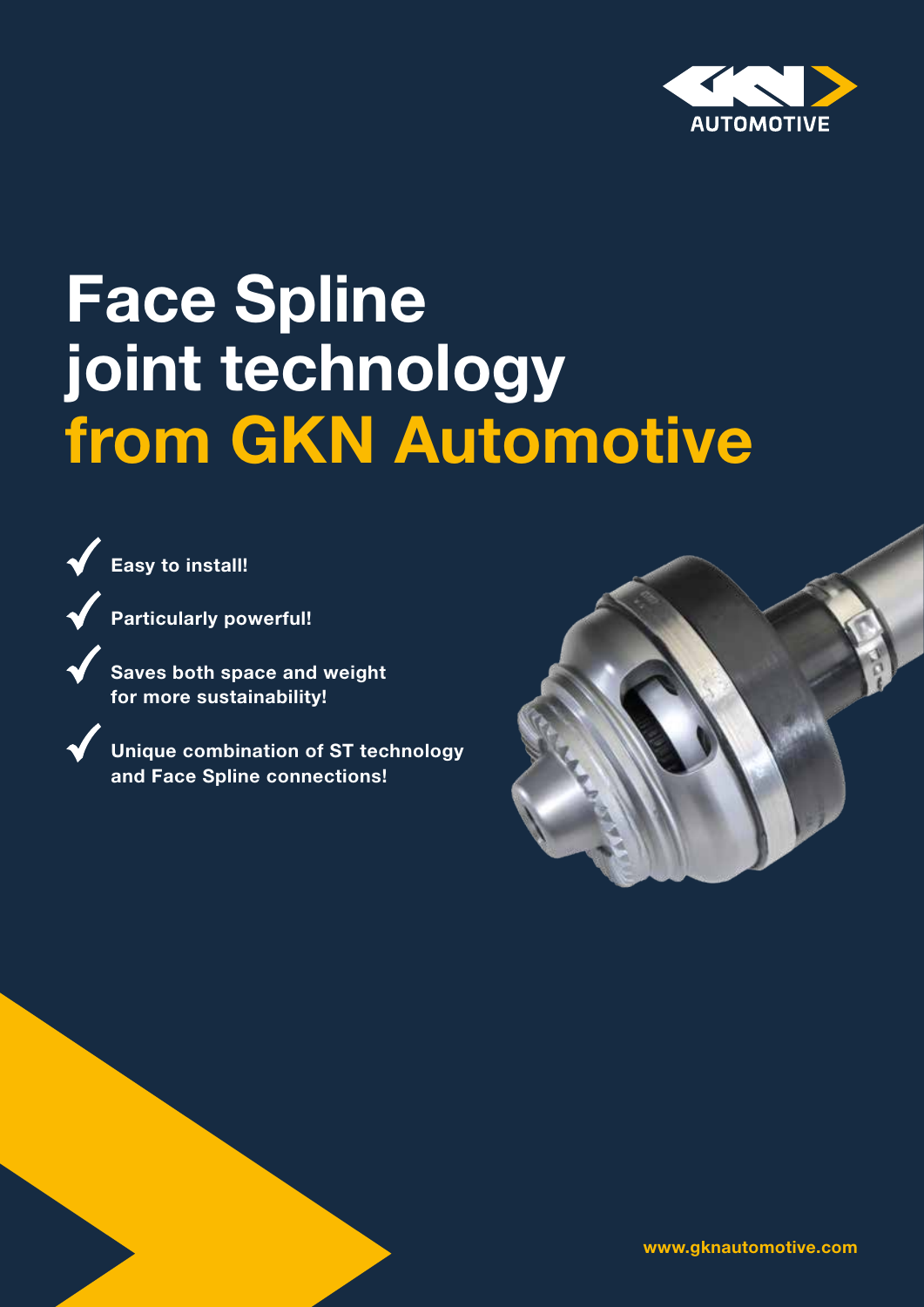

## Face Spline joint technology from GKN Automotive



Particularly powerful!

 Saves both space and weight for more sustainability!

 Unique combination of ST technology and Face Spline connections!



www.gknautomotive.com